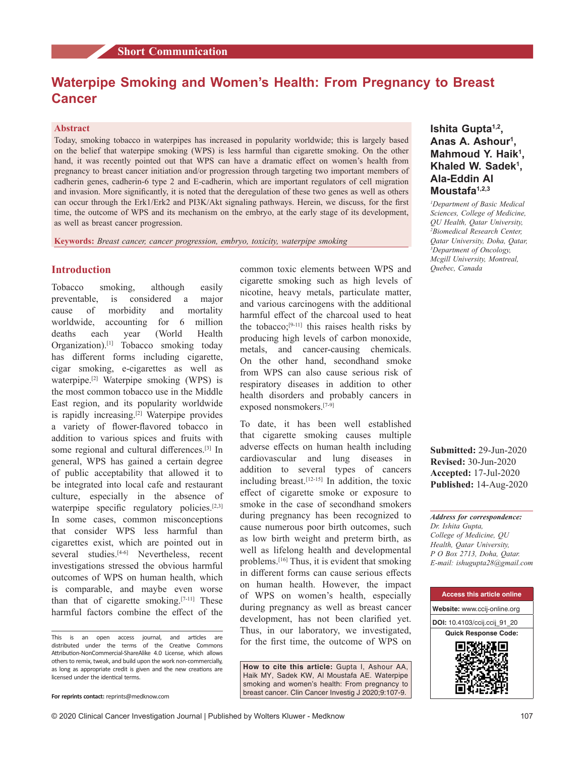# **Waterpipe Smoking and Women's Health: From Pregnancy to Breast Cancer**

#### **Abstract**

Today, smoking tobacco in waterpipes has increased in popularity worldwide; this is largely based on the belief that waterpipe smoking (WPS) is less harmful than cigarette smoking. On the other hand, it was recently pointed out that WPS can have a dramatic effect on women's health from pregnancy to breast cancer initiation and/or progression through targeting two important members of cadherin genes, cadherin–6 type 2 and E–cadherin, which are important regulators of cell migration and invasion. More significantly, it is noted that the deregulation of these two genes as well as others can occur through the Erk1/Erk2 and PI3K/Akt signaling pathways. Herein, we discuss, for the first time, the outcome of WPS and its mechanism on the embryo, at the early stage of its development, as well as breast cancer progression.

**Keywords:** *Breast cancer, cancer progression, embryo, toxicity, waterpipe smoking*

## **Introduction**

Tobacco smoking, although easily preventable, is considered a major cause of morbidity and mortality worldwide, accounting for 6 million deaths each year (World Health Organization).[1] Tobacco smoking today has different forms including cigarette, cigar smoking, e‑cigarettes as well as waterpipe.<sup>[2]</sup> Waterpipe smoking (WPS) is the most common tobacco use in the Middle East region, and its popularity worldwide is rapidly increasing.<sup>[2]</sup> Waterpipe provides a variety of flower‑flavored tobacco in addition to various spices and fruits with some regional and cultural differences.[3] In general, WPS has gained a certain degree of public acceptability that allowed it to be integrated into local cafe and restaurant culture, especially in the absence of waterpipe specific regulatory policies.<sup>[2,3]</sup> In some cases, common misconceptions that consider WPS less harmful than cigarettes exist, which are pointed out in several studies.<sup>[4-6]</sup> Nevertheless, recent investigations stressed the obvious harmful outcomes of WPS on human health, which is comparable, and maybe even worse than that of cigarette smoking.[7‑11] These harmful factors combine the effect of the

common toxic elements between WPS and cigarette smoking such as high levels of nicotine, heavy metals, particulate matter, and various carcinogens with the additional harmful effect of the charcoal used to heat the tobacco; $[9-11]$  this raises health risks by producing high levels of carbon monoxide, metals, and cancer-causing chemicals. On the other hand, secondhand smoke from WPS can also cause serious risk of respiratory diseases in addition to other health disorders and probably cancers in exposed nonsmokers.[7‑9]

To date, it has been well established that cigarette smoking causes multiple adverse effects on human health including cardiovascular and lung diseases in addition to several types of cancers including breast.<sup>[12-15]</sup> In addition, the toxic effect of cigarette smoke or exposure to smoke in the case of secondhand smokers during pregnancy has been recognized to cause numerous poor birth outcomes, such as low birth weight and preterm birth, as well as lifelong health and developmental problems.[16] Thus, it is evident that smoking in different forms can cause serious effects on human health. However, the impact of WPS on women's health, especially during pregnancy as well as breast cancer development, has not been clarified yet. Thus, in our laboratory, we investigated, for the first time, the outcome of WPS on

**How to cite this article:** Gupta I, Ashour AA, Haik MY, Sadek KW, Al Moustafa AE. Waterpipe smoking and women's health: From pregnancy to breast cancer. Clin Cancer Investig J 2020;9:107-9.

## **Ishita Gupta1,2, Anas A. Ashour1 , Mahmoud Y. Haik<sup>1</sup> , Khaled W. Sadek<sup>1</sup> , Ala‑Eddin Al Moustafa1,2,3**

*1 Department of Basic Medical Sciences, College of Medicine, QU Health, Qatar University, 2 Biomedical Research Center, Qatar University, Doha, Qatar, 3 Department of Oncology, Mcgill University, Montreal, Quebec, Canada*

**Submitted:** 29-Jun-2020 **Revised:** 30-Jun-2020 **Accepted:** 17-Jul-2020 **Published:** 14-Aug-2020

*Address for correspondence: Dr. Ishita Gupta, College of Medicine, QU Health, Qatar University, P O Box 2713, Doha, Qatar. E‑mail: ishugupta28@gmail.com*



This is an open access journal, and articles are distributed under the terms of the Creative Commons Attribution‑NonCommercial‑ShareAlike 4.0 License, which allows others to remix, tweak, and build upon the work non‑commercially, as long as appropriate credit is given and the new creations are licensed under the identical terms.

**For reprints contact:** reprints@medknow.com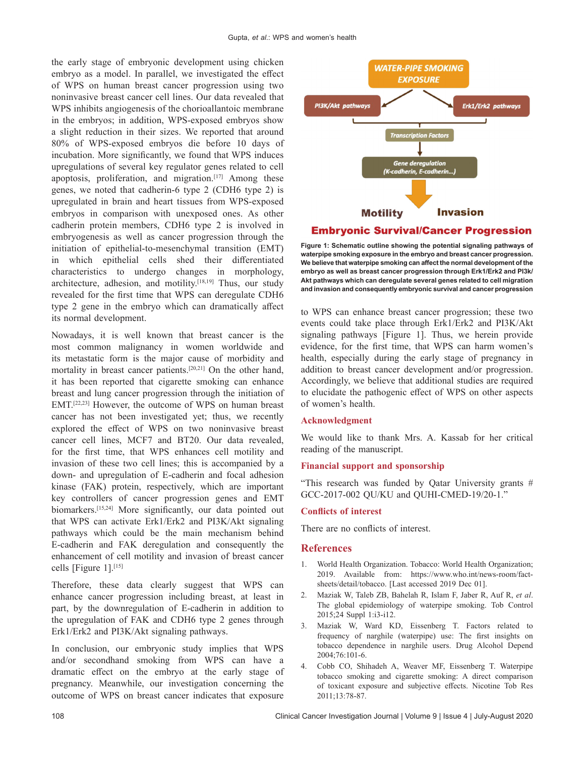the early stage of embryonic development using chicken embryo as a model. In parallel, we investigated the effect of WPS on human breast cancer progression using two noninvasive breast cancer cell lines. Our data revealed that WPS inhibits angiogenesis of the chorioallantoic membrane in the embryos; in addition, WPS-exposed embryos show a slight reduction in their sizes. We reported that around 80% of WPS‑exposed embryos die before 10 days of incubation. More significantly, we found that WPS induces upregulations of several key regulator genes related to cell apoptosis, proliferation, and migration.<sup>[17]</sup> Among these genes, we noted that cadherin-6 type 2 (CDH6 type 2) is upregulated in brain and heart tissues from WPS‑exposed embryos in comparison with unexposed ones. As other cadherin protein members, CDH6 type 2 is involved in embryogenesis as well as cancer progression through the initiation of epithelial-to-mesenchymal transition (EMT) in which epithelial cells shed their differentiated characteristics to undergo changes in morphology, architecture, adhesion, and motility.<sup>[18,19]</sup> Thus, our study revealed for the first time that WPS can deregulate CDH6 type 2 gene in the embryo which can dramatically affect its normal development.

Nowadays, it is well known that breast cancer is the most common malignancy in women worldwide and its metastatic form is the major cause of morbidity and mortality in breast cancer patients.[20,21] On the other hand, it has been reported that cigarette smoking can enhance breast and lung cancer progression through the initiation of EMT.[22,23] However, the outcome of WPS on human breast cancer has not been investigated yet; thus, we recently explored the effect of WPS on two noninvasive breast cancer cell lines, MCF7 and BT20. Our data revealed, for the first time, that WPS enhances cell motility and invasion of these two cell lines; this is accompanied by a down‑ and upregulation of E‑cadherin and focal adhesion kinase (FAK) protein, respectively, which are important key controllers of cancer progression genes and EMT biomarkers.<sup>[15,24]</sup> More significantly, our data pointed out that WPS can activate Erk1/Erk2 and PI3K/Akt signaling pathways which could be the main mechanism behind E‑cadherin and FAK deregulation and consequently the enhancement of cell motility and invasion of breast cancer cells [Figure 1].[15]

Therefore, these data clearly suggest that WPS can enhance cancer progression including breast, at least in part, by the downregulation of E-cadherin in addition to the upregulation of FAK and CDH6 type 2 genes through Erk1/Erk2 and PI3K/Akt signaling pathways.

In conclusion, our embryonic study implies that WPS and/or secondhand smoking from WPS can have a dramatic effect on the embryo at the early stage of pregnancy. Meanwhile, our investigation concerning the outcome of WPS on breast cancer indicates that exposure



### **Embryonic Survival/Cancer Progression**

**Figure 1: Schematic outline showing the potential signaling pathways of waterpipe smoking exposure in the embryo and breast cancer progression. We believe that waterpipe smoking can affect the normal development of the embryo as well as breast cancer progression through Erk1/Erk2 and PI3k/ Akt pathways which can deregulate several genes related to cell migration and invasion and consequently embryonic survival and cancer progression**

to WPS can enhance breast cancer progression; these two events could take place through Erk1/Erk2 and PI3K/Akt signaling pathways [Figure 1]. Thus, we herein provide evidence, for the first time, that WPS can harm women's health, especially during the early stage of pregnancy in addition to breast cancer development and/or progression. Accordingly, we believe that additional studies are required to elucidate the pathogenic effect of WPS on other aspects of women's health.

#### **Acknowledgment**

We would like to thank Mrs. A. Kassab for her critical reading of the manuscript.

#### **Financial support and sponsorship**

"This research was funded by Qatar University grants # GCC-2017-002 QU/KU and QUHI-CMED-19/20-1."

#### **Conflicts of interest**

There are no conflicts of interest.

## **References**

- 1. World Health Organization. Tobacco: World Health Organization; 2019. Available from: https://www.who.int/news-room/factsheets/detail/tobacco. [Last accessed 2019 Dec 01].
- 2. Maziak W, Taleb ZB, Bahelah R, Islam F, Jaber R, Auf R, *et al*. The global epidemiology of waterpipe smoking. Tob Control 2015;24 Suppl 1:i3-i12.
- 3. Maziak W, Ward KD, Eissenberg T. Factors related to frequency of narghile (waterpipe) use: The first insights on tobacco dependence in narghile users. Drug Alcohol Depend 2004;76:101-6.
- 4. Cobb CO, Shihadeh A, Weaver MF, Eissenberg T. Waterpipe tobacco smoking and cigarette smoking: A direct comparison of toxicant exposure and subjective effects. Nicotine Tob Res 2011;13:78-87.